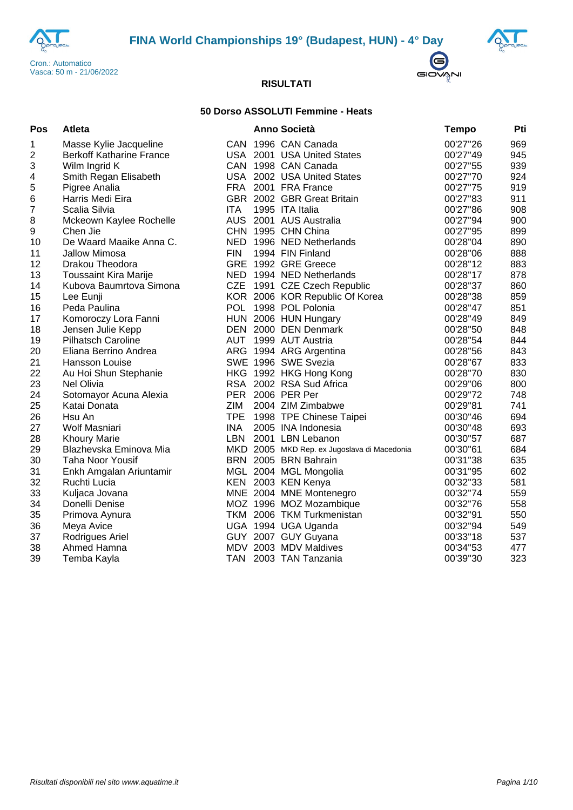





## **50 Dorso ASSOLUTI Femmine - Heats**

| Pos | Atleta                          |            | <b>Anno Società</b>                         | <b>Tempo</b> | Pti |
|-----|---------------------------------|------------|---------------------------------------------|--------------|-----|
| 1   | Masse Kylie Jacqueline          |            | CAN 1996 CAN Canada                         | 00'27"26     | 969 |
| 2   | <b>Berkoff Katharine France</b> |            | USA 2001 USA United States                  | 00'27"49     | 945 |
| 3   | Wilm Ingrid K                   |            | CAN 1998 CAN Canada                         | 00'27"55     | 939 |
| 4   | Smith Regan Elisabeth           |            | USA 2002 USA United States                  | 00'27"70     | 924 |
| 5   | Pigree Analia                   |            | FRA 2001 FRA France                         | 00'27"75     | 919 |
| 6   | Harris Medi Eira                |            | GBR 2002 GBR Great Britain                  | 00'27"83     | 911 |
| 7   | Scalia Silvia                   | <b>ITA</b> | 1995 ITA Italia                             | 00'27"86     | 908 |
| 8   | Mckeown Kaylee Rochelle         |            | AUS 2001 AUS Australia                      | 00'27"94     | 900 |
| 9   | Chen Jie                        |            | CHN 1995 CHN China                          | 00'27"95     | 899 |
| 10  | De Waard Maaike Anna C.         |            | NED 1996 NED Netherlands                    | 00'28"04     | 890 |
| 11  | Jallow Mimosa                   | <b>FIN</b> | 1994 FIN Finland                            | 00'28"06     | 888 |
| 12  | Drakou Theodora                 |            | GRE 1992 GRE Greece                         | 00'28"12     | 883 |
| 13  | <b>Toussaint Kira Marije</b>    |            | NED 1994 NED Netherlands                    | 00'28"17     | 878 |
| 14  | Kubova Baumrtova Simona         |            | CZE 1991 CZE Czech Republic                 | 00'28"37     | 860 |
| 15  | Lee Eunji                       |            | KOR 2006 KOR Republic Of Korea              | 00'28"38     | 859 |
| 16  | Peda Paulina                    |            | POL 1998 POL Polonia                        | 00'28"47     | 851 |
| 17  | Komoroczy Lora Fanni            |            | HUN 2006 HUN Hungary                        | 00'28"49     | 849 |
| 18  | Jensen Julie Kepp               |            | DEN 2000 DEN Denmark                        | 00'28"50     | 848 |
| 19  | <b>Pilhatsch Caroline</b>       |            | AUT 1999 AUT Austria                        | 00'28"54     | 844 |
| 20  | Eliana Berrino Andrea           |            | ARG 1994 ARG Argentina                      | 00'28"56     | 843 |
| 21  | Hansson Louise                  |            | SWE 1996 SWE Svezia                         | 00'28"67     | 833 |
| 22  | Au Hoi Shun Stephanie           |            | HKG 1992 HKG Hong Kong                      | 00'28"70     | 830 |
| 23  | Nel Olivia                      |            | RSA 2002 RSA Sud Africa                     | 00'29"06     | 800 |
| 24  | Sotomayor Acuna Alexia          |            | PER 2006 PER Per                            | 00'29"72     | 748 |
| 25  | Katai Donata                    | ZIM        | 2004 ZIM Zimbabwe                           | 00'29"81     | 741 |
| 26  | Hsu An                          |            | TPE 1998 TPE Chinese Taipei                 | 00'30"46     | 694 |
| 27  | Wolf Masniari                   | <b>INA</b> | 2005 INA Indonesia                          | 00'30"48     | 693 |
| 28  | <b>Khoury Marie</b>             | LBN        | 2001 LBN Lebanon                            | 00'30"57     | 687 |
| 29  | Blazhevska Eminova Mia          |            | MKD 2005 MKD Rep. ex Jugoslava di Macedonia | 00'30"61     | 684 |
| 30  | <b>Taha Noor Yousif</b>         |            | BRN 2005 BRN Bahrain                        | 00'31"38     | 635 |
| 31  | Enkh Amgalan Ariuntamir         |            | MGL 2004 MGL Mongolia                       | 00'31"95     | 602 |
| 32  | Ruchti Lucia                    |            | KEN 2003 KEN Kenya                          | 00'32"33     | 581 |
| 33  | Kuljaca Jovana                  |            | MNE 2004 MNE Montenegro                     | 00'32"74     | 559 |
| 34  | Donelli Denise                  |            | MOZ 1996 MOZ Mozambique                     | 00'32"76     | 558 |
| 35  | Primova Aynura                  |            | TKM 2006 TKM Turkmenistan                   | 00'32"91     | 550 |
| 36  | Meya Avice                      |            | UGA 1994 UGA Uganda                         | 00'32"94     | 549 |
| 37  | Rodrigues Ariel                 |            | GUY 2007 GUY Guyana                         | 00'33"18     | 537 |
| 38  | Ahmed Hamna                     |            | MDV 2003 MDV Maldives                       | 00'34"53     | 477 |
| 39  | Temba Kayla                     | <b>TAN</b> | 2003 TAN Tanzania                           | 00'39"30     | 323 |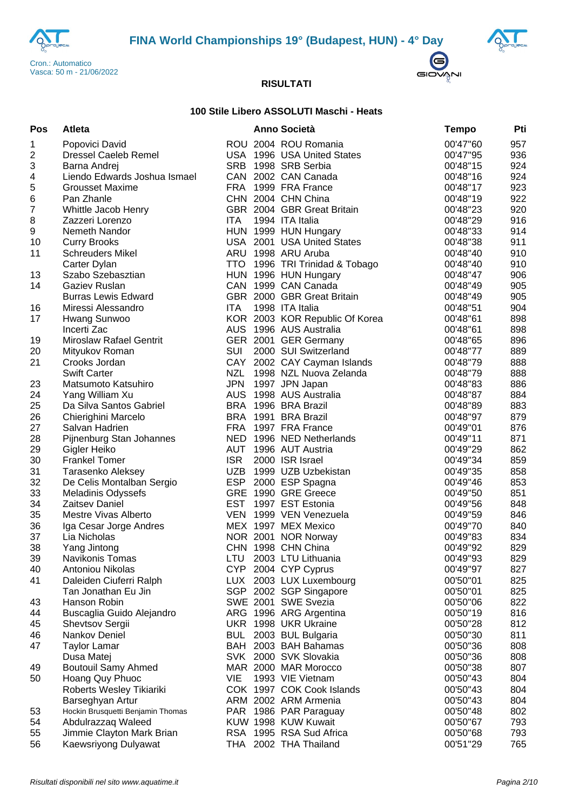





## **100 Stile Libero ASSOLUTI Maschi - Heats**

| Pos              | <b>Atleta</b>                                         |            | Anno Società                   | <b>Tempo</b>         | Pti |
|------------------|-------------------------------------------------------|------------|--------------------------------|----------------------|-----|
| 1                | Popovici David                                        |            | ROU 2004 ROU Romania           | 00'47"60             | 957 |
| $\boldsymbol{2}$ | <b>Dressel Caeleb Remel</b>                           |            | USA 1996 USA United States     | 00'47"95             | 936 |
| 3                | Barna Andrej                                          | <b>SRB</b> | 1998 SRB Serbia                | 00'48"15             | 924 |
| 4                | Liendo Edwards Joshua Ismael                          |            | CAN 2002 CAN Canada            | 00'48"16             | 924 |
| 5                | Grousset Maxime                                       |            | FRA 1999 FRA France            | 00'48"17             | 923 |
| 6                | Pan Zhanle                                            |            | CHN 2004 CHN China             | 00'48"19             | 922 |
| $\boldsymbol{7}$ | Whittle Jacob Henry                                   |            | GBR 2004 GBR Great Britain     | 00'48"23             | 920 |
| $\, 8$           | Zazzeri Lorenzo                                       | <b>ITA</b> | 1994 ITA Italia                | 00'48"29             | 916 |
| $\boldsymbol{9}$ | Nemeth Nandor                                         |            | HUN 1999 HUN Hungary           | 00'48"33             | 914 |
| 10               | <b>Curry Brooks</b>                                   |            | USA 2001 USA United States     | 00'48"38             | 911 |
| 11               | <b>Schreuders Mikel</b>                               |            | ARU 1998 ARU Aruba             | 00'48"40             | 910 |
|                  | Carter Dylan                                          | <b>TTO</b> | 1996 TRI Trinidad & Tobago     | 00'48"40             | 910 |
| 13               | Szabo Szebasztian                                     |            | HUN 1996 HUN Hungary           | 00'48"47             | 906 |
| 14               | Gaziev Ruslan                                         |            | CAN 1999 CAN Canada            | 00'48"49             | 905 |
|                  | <b>Burras Lewis Edward</b>                            |            | GBR 2000 GBR Great Britain     | 00'48"49             | 905 |
| 16               | Miressi Alessandro                                    | ITA        | 1998 ITA Italia                | 00'48"51             | 904 |
| 17               | Hwang Sunwoo                                          |            | KOR 2003 KOR Republic Of Korea | 00'48"61             | 898 |
|                  | Incerti Zac                                           |            | AUS 1996 AUS Australia         | 00'48"61             | 898 |
| 19               | <b>Miroslaw Rafael Gentrit</b>                        |            | GER 2001 GER Germany           | 00'48"65             | 896 |
| 20               | Mityukov Roman                                        | SUI        | 2000 SUI Switzerland           | 00'48"77             | 889 |
| 21               | Crooks Jordan                                         |            | CAY 2002 CAY Cayman Islands    | 00'48"79             | 888 |
|                  | <b>Swift Carter</b>                                   | NZL        | 1998 NZL Nuova Zelanda         | 00'48"79             | 888 |
| 23               | Matsumoto Katsuhiro                                   | <b>JPN</b> | 1997 JPN Japan                 | 00'48"83             | 886 |
| 24               | Yang William Xu                                       | <b>AUS</b> | 1998 AUS Australia             | 00'48"87             | 884 |
| 25               | Da Silva Santos Gabriel                               |            | BRA 1996 BRA Brazil            | 00'48"89             | 883 |
| 26               | Chierighini Marcelo                                   |            | BRA 1991 BRA Brazil            | 00'48"97             | 879 |
| 27               | Salvan Hadrien                                        | FRA        | 1997 FRA France                | 00'49"01             | 876 |
| 28               | Pijnenburg Stan Johannes                              |            | NED 1996 NED Netherlands       | 00'49"11             | 871 |
| 29               | Gigler Heiko                                          | AUT        | 1996 AUT Austria               | 00'49"29             | 862 |
| 30               | <b>Frankel Tomer</b>                                  | <b>ISR</b> | 2000 ISR Israel                | 00'49"34             | 859 |
| 31               | Tarasenko Aleksey                                     | <b>UZB</b> | 1999 UZB Uzbekistan            | 00'49"35             | 858 |
| 32               | De Celis Montalban Sergio                             | <b>ESP</b> | 2000 ESP Spagna                | 00'49"46             | 853 |
| 33               | <b>Meladinis Odyssefs</b>                             |            | GRE 1990 GRE Greece            | 00'49"50             | 851 |
| 34               | <b>Zaitsev Daniel</b>                                 |            | EST 1997 EST Estonia           | 00'49"56             | 848 |
| 35               | Mestre Vivas Alberto                                  |            | VEN 1999 VEN Venezuela         | 00'49"59             | 846 |
| 36               | Iga Cesar Jorge Andres                                |            | MEX 1997 MEX Mexico            | 00'49"70             | 840 |
| 37               | Lia Nicholas                                          |            | NOR 2001 NOR Norway            | 00'49"83             | 834 |
| 38               | Yang Jintong                                          |            | CHN 1998 CHN China             | 00'49"92             | 829 |
| 39               | Navikonis Tomas                                       | LTU        | 2003 LTU Lithuania             | 00'49"93             | 829 |
| 40               | Antoniou Nikolas                                      |            | CYP 2004 CYP Cyprus            | 00'49"97             | 827 |
| 41               | Daleiden Ciuferri Ralph                               |            | LUX 2003 LUX Luxembourg        | 00'50"01             | 825 |
|                  | Tan Jonathan Eu Jin                                   |            | SGP 2002 SGP Singapore         | 00'50"01             | 825 |
| 43               | Hanson Robin                                          |            | SWE 2001 SWE Svezia            | 00'50"06             | 822 |
| 44               | Buscaglia Guido Alejandro                             |            | ARG 1996 ARG Argentina         | 00'50"19             | 816 |
| 45               | Shevtsov Sergii                                       |            | UKR 1998 UKR Ukraine           | 00'50"28             | 812 |
| 46               | Nankov Deniel                                         | <b>BUL</b> | 2003 BUL Bulgaria              | 00'50"30             | 811 |
| 47               | <b>Taylor Lamar</b>                                   |            | BAH 2003 BAH Bahamas           | 00'50"36             | 808 |
|                  | Dusa Matej                                            |            | SVK 2000 SVK Slovakia          | 00'50"36             | 808 |
| 49               | <b>Boutouil Samy Ahmed</b>                            |            | MAR 2000 MAR Morocco           | 00'50"38             | 807 |
| 50               | Hoang Quy Phuoc                                       | <b>VIE</b> | 1993 VIE Vietnam               | 00'50"43             | 804 |
|                  |                                                       |            | COK 1997 COK Cook Islands      |                      | 804 |
|                  | Roberts Wesley Tikiariki                              |            | ARM 2002 ARM Armenia           | 00'50"43<br>00'50"43 | 804 |
|                  | Barseghyan Artur<br>Hockin Brusquetti Benjamin Thomas |            | PAR 1986 PAR Paraguay          | 00'50"48             | 802 |
| 53<br>54         | Abdulrazzaq Waleed                                    |            | KUW 1998 KUW Kuwait            | 00'50"67             | 793 |
| 55               | Jimmie Clayton Mark Brian                             |            | RSA 1995 RSA Sud Africa        | 00'50"68             | 793 |
|                  |                                                       |            |                                |                      | 765 |
| 56               | Kaewsriyong Dulyawat                                  |            | THA 2002 THA Thailand          | 00'51"29             |     |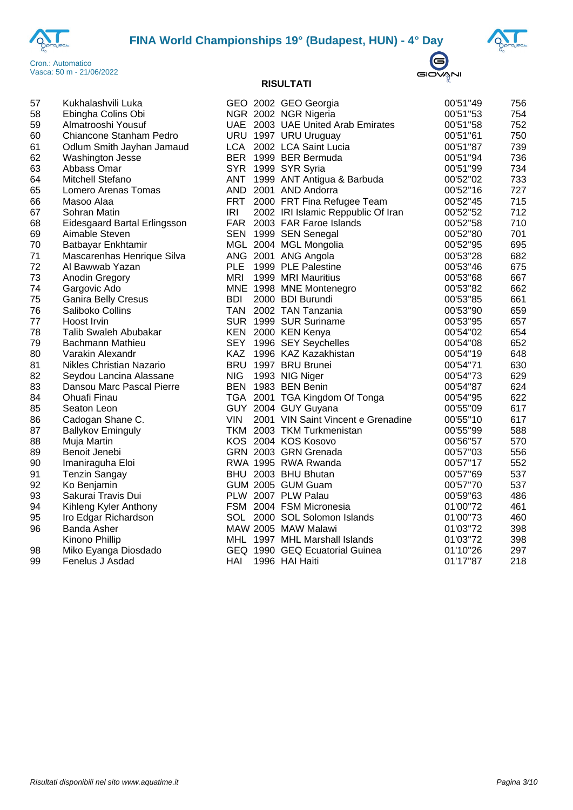





| 57 | Kukhalashvili Luka           |            | GEO 2002 GEO Georgia               | 00'51"49 | 756 |
|----|------------------------------|------------|------------------------------------|----------|-----|
| 58 | Ebingha Colins Obi           |            | NGR 2002 NGR Nigeria               | 00'51"53 | 754 |
| 59 | Almatrooshi Yousuf           |            | UAE 2003 UAE United Arab Emirates  | 00'51"58 | 752 |
| 60 | Chiancone Stanham Pedro      |            | URU 1997 URU Uruguay               | 00'51"61 | 750 |
| 61 | Odlum Smith Jayhan Jamaud    |            | LCA 2002 LCA Saint Lucia           | 00'51"87 | 739 |
| 62 | Washington Jesse             |            | BER 1999 BER Bermuda               | 00'51"94 | 736 |
| 63 | Abbass Omar                  |            | SYR 1999 SYR Syria                 | 00'51"99 | 734 |
| 64 | Mitchell Stefano             | ANT        | 1999 ANT Antigua & Barbuda         | 00'52"02 | 733 |
| 65 | Lomero Arenas Tomas          |            | AND 2001 AND Andorra               | 00'52"16 | 727 |
| 66 | Masoo Alaa                   | <b>FRT</b> | 2000 FRT Fina Refugee Team         | 00'52"45 | 715 |
| 67 | Sohran Matin                 | <b>IRI</b> | 2002 IRI Islamic Reppublic Of Iran | 00'52"52 | 712 |
| 68 | Eidesgaard Bartal Erlingsson |            | FAR 2003 FAR Faroe Islands         | 00'52"58 | 710 |
| 69 | Aimable Steven               |            | SEN 1999 SEN Senegal               | 00'52"80 | 701 |
| 70 | Batbayar Enkhtamir           |            | MGL 2004 MGL Mongolia              | 00'52"95 | 695 |
| 71 | Mascarenhas Henrique Silva   |            | ANG 2001 ANG Angola                | 00'53"28 | 682 |
| 72 | Al Bawwab Yazan              | <b>PLE</b> | 1999 PLE Palestine                 | 00'53"46 | 675 |
| 73 | Anodin Gregory               | <b>MRI</b> | 1999 MRI Mauritius                 | 00'53"68 | 667 |
| 74 | Gargovic Ado                 |            | MNE 1998 MNE Montenegro            | 00'53"82 | 662 |
| 75 | Ganira Belly Cresus          | <b>BDI</b> | 2000 BDI Burundi                   | 00'53"85 | 661 |
| 76 | Saliboko Collins             |            | TAN 2002 TAN Tanzania              | 00'53"90 | 659 |
| 77 | Hoost Irvin                  |            | SUR 1999 SUR Suriname              | 00'53"95 | 657 |
| 78 | Talib Swaleh Abubakar        |            | KEN 2000 KEN Kenya                 | 00'54"02 | 654 |
| 79 | Bachmann Mathieu             |            | SEY 1996 SEY Seychelles            | 00'54"08 | 652 |
| 80 | Varakin Alexandr             | KAZ        | 1996 KAZ Kazakhistan               | 00'54"19 | 648 |
| 81 | Nikles Christian Nazario     |            | BRU 1997 BRU Brunei                | 00'54"71 | 630 |
| 82 | Seydou Lancina Alassane      | <b>NIG</b> | 1993 NIG Niger                     | 00'54"73 | 629 |
| 83 | Dansou Marc Pascal Pierre    |            | BEN 1983 BEN Benin                 | 00'54"87 | 624 |
| 84 | Ohuafi Finau                 |            | TGA 2001 TGA Kingdom Of Tonga      | 00'54"95 | 622 |
| 85 | Seaton Leon                  |            | GUY 2004 GUY Guyana                | 00'55"09 | 617 |
| 86 | Cadogan Shane C.             | <b>VIN</b> | 2001 VIN Saint Vincent e Grenadine | 00'55"10 | 617 |
| 87 | <b>Ballykov Eminguly</b>     |            | TKM 2003 TKM Turkmenistan          | 00'55"99 | 588 |
| 88 | Muja Martin                  |            | KOS 2004 KOS Kosovo                | 00'56"57 | 570 |
| 89 | Benoit Jenebi                |            | GRN 2003 GRN Grenada               | 00'57"03 | 556 |
| 90 | Imaniraguha Eloi             |            | RWA 1995 RWA Rwanda                | 00'57"17 | 552 |
| 91 | <b>Tenzin Sangay</b>         |            | BHU 2003 BHU Bhutan                | 00'57"69 | 537 |
| 92 | Ko Benjamin                  |            | GUM 2005 GUM Guam                  | 00'57"70 | 537 |
| 93 | Sakurai Travis Dui           |            | PLW 2007 PLW Palau                 | 00'59"63 | 486 |
| 94 | Kihleng Kyler Anthony        |            | FSM 2004 FSM Micronesia            | 01'00"72 | 461 |
| 95 | Iro Edgar Richardson         |            | SOL 2000 SOL Solomon Islands       | 01'00"73 | 460 |
| 96 | Banda Asher                  |            | MAW 2005 MAW Malawi                | 01'03"72 | 398 |
|    | Kinono Phillip               |            | MHL 1997 MHL Marshall Islands      | 01'03"72 | 398 |
| 98 | Miko Eyanga Diosdado         |            | GEQ 1990 GEQ Ecuatorial Guinea     | 01'10"26 | 297 |
| 99 | Fenelus J Asdad              | HAI        | 1996 HAI Haiti                     | 01'17"87 | 218 |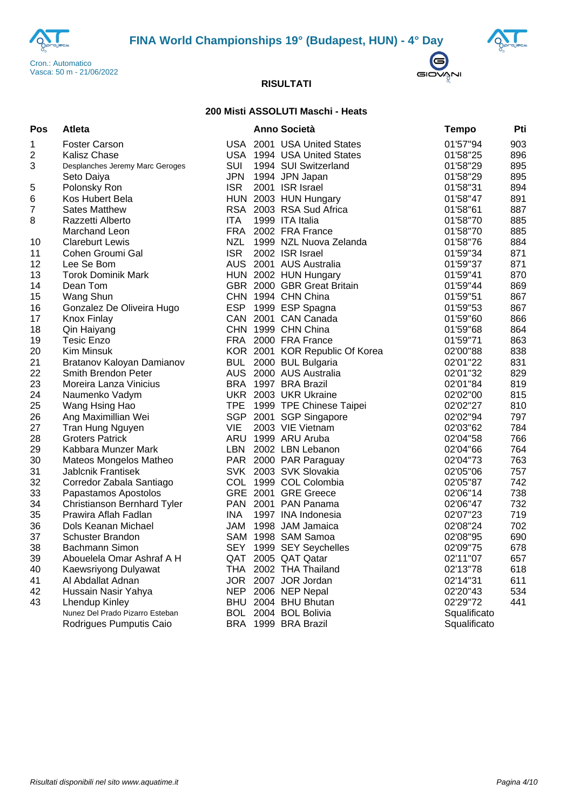





## **200 Misti ASSOLUTI Maschi - Heats**

| Pos | Atleta                             |            | <b>Anno Società</b>            | <b>Tempo</b> | Pti |
|-----|------------------------------------|------------|--------------------------------|--------------|-----|
| 1   | <b>Foster Carson</b>               |            | USA 2001 USA United States     | 01'57"94     | 903 |
| 2   | <b>Kalisz Chase</b>                |            | USA 1994 USA United States     | 01'58"25     | 896 |
| 3   | Desplanches Jeremy Marc Geroges    | SUI        | 1994 SUI Switzerland           | 01'58"29     | 895 |
|     | Seto Daiya                         | <b>JPN</b> | 1994 JPN Japan                 | 01'58"29     | 895 |
| 5   | Polonsky Ron                       | <b>ISR</b> | 2001 ISR Israel                | 01'58"31     | 894 |
| 6   | Kos Hubert Bela                    |            | HUN 2003 HUN Hungary           | 01'58"47     | 891 |
| 7   | <b>Sates Matthew</b>               |            | RSA 2003 RSA Sud Africa        | 01'58"61     | 887 |
| 8   | Razzetti Alberto                   | <b>ITA</b> | 1999 ITA Italia                | 01'58"70     | 885 |
|     | Marchand Leon                      | <b>FRA</b> | 2002 FRA France                | 01'58"70     | 885 |
| 10  | <b>Clareburt Lewis</b>             | NZL        | 1999 NZL Nuova Zelanda         | 01'58"76     | 884 |
| 11  | Cohen Groumi Gal                   | <b>ISR</b> | 2002 ISR Israel                | 01'59"34     | 871 |
| 12  | Lee Se Bom                         |            | AUS 2001 AUS Australia         | 01'59"37     | 871 |
| 13  | <b>Torok Dominik Mark</b>          |            | HUN 2002 HUN Hungary           | 01'59"41     | 870 |
| 14  | Dean Tom                           |            | GBR 2000 GBR Great Britain     | 01'59"44     | 869 |
| 15  | Wang Shun                          |            | CHN 1994 CHN China             | 01'59"51     | 867 |
| 16  | Gonzalez De Oliveira Hugo          |            | ESP 1999 ESP Spagna            | 01'59"53     | 867 |
| 17  | <b>Knox Finlay</b>                 |            | CAN 2001 CAN Canada            | 01'59"60     | 866 |
| 18  | Qin Haiyang                        |            | CHN 1999 CHN China             | 01'59"68     | 864 |
| 19  | Tesic Enzo                         |            | FRA 2000 FRA France            | 01'59"71     | 863 |
| 20  | Kim Minsuk                         |            | KOR 2001 KOR Republic Of Korea | 02'00"88     | 838 |
| 21  | Bratanov Kaloyan Damianov          | <b>BUL</b> | 2000 BUL Bulgaria              | 02'01"22     | 831 |
| 22  | Smith Brendon Peter                |            | AUS 2000 AUS Australia         | 02'01"32     | 829 |
| 23  | Moreira Lanza Vinicius             |            | BRA 1997 BRA Brazil            | 02'01"84     | 819 |
| 24  | Naumenko Vadym                     |            | UKR 2003 UKR Ukraine           | 02'02"00     | 815 |
| 25  | Wang Hsing Hao                     |            | TPE 1999 TPE Chinese Taipei    | 02'02"27     | 810 |
| 26  | Ang Maximillian Wei                |            | SGP 2001 SGP Singapore         | 02'02"94     | 797 |
| 27  | Tran Hung Nguyen                   | <b>VIE</b> | 2003 VIE Vietnam               | 02'03"62     | 784 |
| 28  | <b>Groters Patrick</b>             |            | ARU 1999 ARU Aruba             | 02'04"58     | 766 |
| 29  | Kabbara Munzer Mark                | LBN        | 2002 LBN Lebanon               | 02'04"66     | 764 |
| 30  | Mateos Mongelos Matheo             |            | PAR 2000 PAR Paraguay          | 02'04"73     | 763 |
| 31  | <b>Jablcnik Frantisek</b>          |            | SVK 2003 SVK Slovakia          | 02'05"06     | 757 |
| 32  | Corredor Zabala Santiago           |            | COL 1999 COL Colombia          | 02'05"87     | 742 |
| 33  | Papastamos Apostolos               |            | GRE 2001 GRE Greece            | 02'06"14     | 738 |
| 34  | <b>Christianson Bernhard Tyler</b> |            | PAN 2001 PAN Panama            | 02'06"47     | 732 |
| 35  | Prawira Aflah Fadlan               | <b>INA</b> | 1997 INA Indonesia             | 02'07"23     | 719 |
| 36  | Dols Keanan Michael                | JAM        | 1998 JAM Jamaica               | 02'08"24     | 702 |
| 37  | <b>Schuster Brandon</b>            |            | SAM 1998 SAM Samoa             | 02'08"95     | 690 |
| 38  | Bachmann Simon                     |            | SEY 1999 SEY Seychelles        | 02'09"75     | 678 |
| 39  | Abouelela Omar Ashraf A H          | QAT        | 2005 QAT Qatar                 | 02'11"07     | 657 |
| 40  | Kaewsriyong Dulyawat               |            | THA 2002 THA Thailand          | 02'13"78     | 618 |
| 41  | Al Abdallat Adnan                  |            | JOR 2007 JOR Jordan            | 02'14"31     | 611 |
| 42  | Hussain Nasir Yahya                |            | NEP 2006 NEP Nepal             | 02'20"43     | 534 |
| 43  | <b>Lhendup Kinley</b>              |            | BHU 2004 BHU Bhutan            | 02'29"72     | 441 |
|     | Nunez Del Prado Pizarro Esteban    |            | BOL 2004 BOL Bolivia           | Squalificato |     |
|     | Rodrigues Pumputis Caio            |            | BRA 1999 BRA Brazil            | Squalificato |     |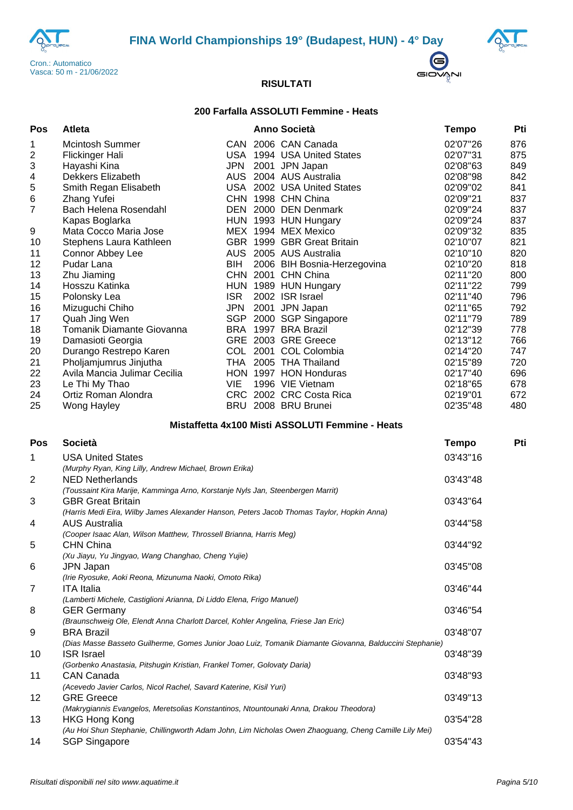





## **200 Farfalla ASSOLUTI Femmine - Heats**

| Pos                     | Atleta                                                                                                                        |            | <b>Anno Società</b>                                                                                     | <b>Tempo</b>         | Pti        |
|-------------------------|-------------------------------------------------------------------------------------------------------------------------------|------------|---------------------------------------------------------------------------------------------------------|----------------------|------------|
| 1                       | <b>Mcintosh Summer</b>                                                                                                        |            | CAN 2006 CAN Canada                                                                                     | 02'07"26             | 876        |
| $\overline{\mathbf{c}}$ | Flickinger Hali                                                                                                               |            | USA 1994 USA United States                                                                              | 02'07"31             | 875        |
| 3                       | Hayashi Kina                                                                                                                  | <b>JPN</b> | 2001 JPN Japan                                                                                          | 02'08"63             | 849        |
| 4                       | Dekkers Elizabeth                                                                                                             |            | AUS 2004 AUS Australia                                                                                  | 02'08"98             | 842        |
| 5                       | Smith Regan Elisabeth                                                                                                         |            | USA 2002 USA United States                                                                              | 02'09"02             | 841        |
| $\,6$                   | Zhang Yufei                                                                                                                   |            | CHN 1998 CHN China                                                                                      | 02'09"21             | 837        |
| $\overline{7}$          | Bach Helena Rosendahl                                                                                                         |            | DEN 2000 DEN Denmark                                                                                    | 02'09"24             | 837        |
|                         | Kapas Boglarka                                                                                                                |            | HUN 1993 HUN Hungary                                                                                    | 02'09"24             | 837        |
| 9                       | Mata Cocco Maria Jose                                                                                                         |            | MEX 1994 MEX Mexico                                                                                     | 02'09"32             | 835        |
| 10                      | Stephens Laura Kathleen                                                                                                       |            | GBR 1999 GBR Great Britain                                                                              | 02'10"07             | 821        |
| 11                      | Connor Abbey Lee                                                                                                              |            | AUS 2005 AUS Australia                                                                                  | 02'10"10             | 820        |
| 12                      | Pudar Lana                                                                                                                    | BIH        | 2006 BIH Bosnia-Herzegovina                                                                             | 02'10"20             | 818        |
| 13                      | Zhu Jiaming                                                                                                                   |            | CHN 2001 CHN China                                                                                      | 02'11"20             | 800        |
| 14<br>15                | Hosszu Katinka                                                                                                                | <b>ISR</b> | HUN 1989 HUN Hungary<br>2002 ISR Israel                                                                 | 02'11"22<br>02'11"40 | 799<br>796 |
| 16                      | Polonsky Lea                                                                                                                  | <b>JPN</b> | 2001 JPN Japan                                                                                          | 02'11"65             | 792        |
| 17                      | Mizuguchi Chiho<br>Quah Jing Wen                                                                                              |            | SGP 2000 SGP Singapore                                                                                  | 02'11"79             | 789        |
| 18                      | Tomanik Diamante Giovanna                                                                                                     |            | BRA 1997 BRA Brazil                                                                                     | 02'12"39             | 778        |
| 19                      | Damasioti Georgia                                                                                                             |            | GRE 2003 GRE Greece                                                                                     | 02'13"12             | 766        |
| 20                      | Durango Restrepo Karen                                                                                                        |            | COL 2001 COL Colombia                                                                                   | 02'14"20             | 747        |
| 21                      | Pholjamjumrus Jinjutha                                                                                                        |            | THA 2005 THA Thailand                                                                                   | 02'15"89             | 720        |
| 22                      | Avila Mancia Julimar Cecilia                                                                                                  |            | HON 1997 HON Honduras                                                                                   | 02'17"40             | 696        |
| 23                      | Le Thi My Thao                                                                                                                | VIE        | 1996 VIE Vietnam                                                                                        | 02'18"65             | 678        |
| 24                      | Ortiz Roman Alondra                                                                                                           |            | CRC 2002 CRC Costa Rica                                                                                 | 02'19"01             | 672        |
| 25                      | Wong Hayley                                                                                                                   |            | BRU 2008 BRU Brunei                                                                                     | 02'35"48             | 480        |
|                         |                                                                                                                               |            | Mistaffetta 4x100 Misti ASSOLUTI Femmine - Heats                                                        |                      |            |
| <b>Pos</b>              | <b>Società</b>                                                                                                                |            |                                                                                                         | <b>Tempo</b>         | Pti        |
|                         |                                                                                                                               |            |                                                                                                         | 03'43"16             |            |
| 1                       | <b>USA United States</b>                                                                                                      |            |                                                                                                         |                      |            |
| $\overline{2}$          | (Murphy Ryan, King Lilly, Andrew Michael, Brown Erika)<br><b>NED Netherlands</b>                                              |            |                                                                                                         | 03'43"48             |            |
|                         | (Toussaint Kira Marije, Kamminga Arno, Korstanje Nyls Jan, Steenbergen Marrit)                                                |            |                                                                                                         |                      |            |
| 3                       | <b>GBR Great Britain</b>                                                                                                      |            |                                                                                                         | 03'43"64             |            |
|                         | (Harris Medi Eira, Wilby James Alexander Hanson, Peters Jacob Thomas Taylor, Hopkin Anna)                                     |            |                                                                                                         |                      |            |
| 4                       | <b>AUS Australia</b>                                                                                                          |            |                                                                                                         | 03'44"58             |            |
|                         | (Cooper Isaac Alan, Wilson Matthew, Throssell Brianna, Harris Meg)                                                            |            |                                                                                                         |                      |            |
| 5                       | <b>CHN China</b>                                                                                                              |            |                                                                                                         | 03'44"92             |            |
|                         | (Xu Jiayu, Yu Jingyao, Wang Changhao, Cheng Yujie)                                                                            |            |                                                                                                         |                      |            |
| 6                       | <b>JPN Japan</b>                                                                                                              |            |                                                                                                         | 03'45"08             |            |
|                         | (Irie Ryosuke, Aoki Reona, Mizunuma Naoki, Omoto Rika)                                                                        |            |                                                                                                         |                      |            |
| 7                       | <b>ITA</b> Italia                                                                                                             |            |                                                                                                         | 03'46"44             |            |
|                         | (Lamberti Michele, Castiglioni Arianna, Di Liddo Elena, Frigo Manuel)                                                         |            |                                                                                                         |                      |            |
| 8                       | <b>GER Germany</b>                                                                                                            |            |                                                                                                         | 03'46"54             |            |
|                         | (Braunschweig Ole, Elendt Anna Charlott Darcel, Kohler Angelina, Friese Jan Eric)                                             |            |                                                                                                         |                      |            |
| 9                       | <b>BRA Brazil</b>                                                                                                             |            |                                                                                                         | 03'48"07             |            |
|                         |                                                                                                                               |            | (Dias Masse Basseto Guilherme, Gomes Junior Joao Luiz, Tomanik Diamante Giovanna, Balduccini Stephanie) |                      |            |
| 10                      | <b>ISR Israel</b>                                                                                                             |            |                                                                                                         | 03'48"39             |            |
|                         | (Gorbenko Anastasia, Pitshugin Kristian, Frankel Tomer, Golovaty Daria)                                                       |            |                                                                                                         |                      |            |
| 11                      | <b>CAN Canada</b>                                                                                                             |            |                                                                                                         | 03'48"93             |            |
|                         | (Acevedo Javier Carlos, Nicol Rachel, Savard Katerine, Kisil Yuri)                                                            |            |                                                                                                         |                      |            |
| 12                      | <b>GRE Greece</b>                                                                                                             |            |                                                                                                         | 03'49"13             |            |
|                         | (Makrygiannis Evangelos, Meretsolias Konstantinos, Ntountounaki Anna, Drakou Theodora)                                        |            |                                                                                                         | 03'54"28             |            |
| 13                      | <b>HKG Hong Kong</b>                                                                                                          |            |                                                                                                         |                      |            |
| 14                      | (Au Hoi Shun Stephanie, Chillingworth Adam John, Lim Nicholas Owen Zhaoguang, Cheng Camille Lily Mei)<br><b>SGP Singapore</b> |            |                                                                                                         | 03'54"43             |            |
|                         |                                                                                                                               |            |                                                                                                         |                      |            |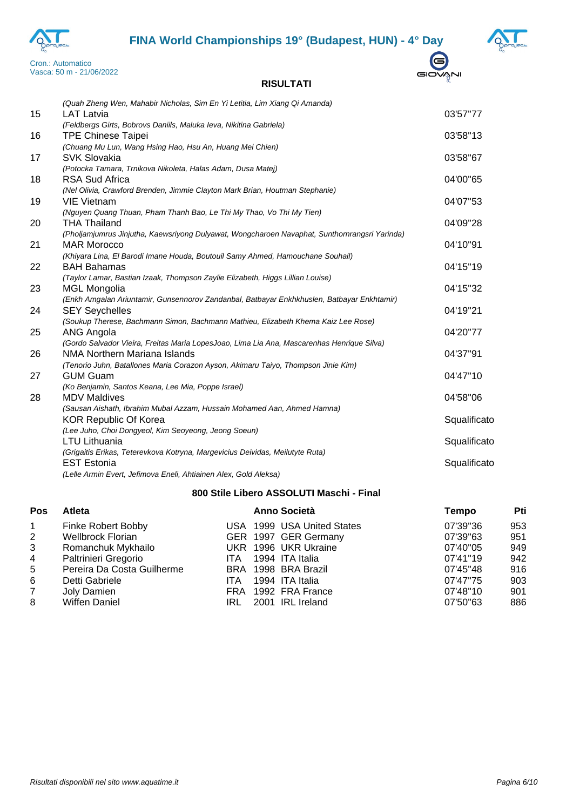# **FINA World Championships 19° (Budapest, HUN) - 4° Day**





 $\bigoplus$ GIOVANI

## **RISULTATI**

|    | (Quah Zheng Wen, Mahabir Nicholas, Sim En Yi Letitia, Lim Xiang Qi Amanda)                    |              |
|----|-----------------------------------------------------------------------------------------------|--------------|
| 15 | <b>LAT Latvia</b>                                                                             | 03'57"77     |
|    | (Feldbergs Girts, Bobrovs Daniils, Maluka Ieva, Nikitina Gabriela)                            |              |
| 16 | <b>TPE Chinese Taipei</b>                                                                     | 03'58"13     |
|    | (Chuang Mu Lun, Wang Hsing Hao, Hsu An, Huang Mei Chien)                                      |              |
| 17 | <b>SVK Slovakia</b>                                                                           | 03'58"67     |
|    | (Potocka Tamara, Trnikova Nikoleta, Halas Adam, Dusa Matej)                                   |              |
| 18 | <b>RSA Sud Africa</b>                                                                         | 04'00"65     |
|    | (Nel Olivia, Crawford Brenden, Jimmie Clayton Mark Brian, Houtman Stephanie)                  |              |
| 19 | <b>VIE Vietnam</b>                                                                            | 04'07"53     |
|    | (Nguyen Quang Thuan, Pham Thanh Bao, Le Thi My Thao, Vo Thi My Tien)                          |              |
| 20 | <b>THA Thailand</b>                                                                           | 04'09"28     |
|    | (Pholjamjumrus Jinjutha, Kaewsriyong Dulyawat, Wongcharoen Navaphat, Sunthornrangsri Yarinda) |              |
| 21 | <b>MAR Morocco</b>                                                                            | 04'10"91     |
|    | (Khiyara Lina, El Barodi Imane Houda, Boutouil Samy Ahmed, Hamouchane Souhail)                |              |
| 22 | <b>BAH Bahamas</b>                                                                            | 04'15"19     |
|    | (Taylor Lamar, Bastian Izaak, Thompson Zaylie Elizabeth, Higgs Lillian Louise)                |              |
| 23 | <b>MGL Mongolia</b>                                                                           | 04'15"32     |
|    | (Enkh Amgalan Ariuntamir, Gunsennorov Zandanbal, Batbayar Enkhkhuslen, Batbayar Enkhtamir)    |              |
| 24 | <b>SEY Seychelles</b>                                                                         | 04'19"21     |
|    | (Soukup Therese, Bachmann Simon, Bachmann Mathieu, Elizabeth Khema Kaiz Lee Rose)             |              |
| 25 | ANG Angola                                                                                    | 04'20"77     |
|    | (Gordo Salvador Vieira, Freitas Maria LopesJoao, Lima Lia Ana, Mascarenhas Henrique Silva)    |              |
| 26 | NMA Northern Mariana Islands                                                                  | 04'37"91     |
|    | (Tenorio Juhn, Batallones Maria Corazon Ayson, Akimaru Taiyo, Thompson Jinie Kim)             |              |
| 27 | <b>GUM Guam</b>                                                                               | 04'47"10     |
|    | (Ko Benjamin, Santos Keana, Lee Mia, Poppe Israel)                                            |              |
| 28 | <b>MDV Maldives</b>                                                                           | 04'58"06     |
|    | (Sausan Aishath, Ibrahim Mubal Azzam, Hussain Mohamed Aan, Ahmed Hamna)                       |              |
|    | <b>KOR Republic Of Korea</b>                                                                  | Squalificato |
|    | (Lee Juho, Choi Dongyeol, Kim Seoyeong, Jeong Soeun)                                          |              |
|    | <b>LTU Lithuania</b>                                                                          | Squalificato |
|    | (Grigaitis Erikas, Teterevkova Kotryna, Margevicius Deividas, Meilutyte Ruta)                 |              |
|    | <b>EST Estonia</b>                                                                            | Squalificato |
|    | (Lelle Armin Evert, Jefimova Eneli, Ahtiainen Alex, Gold Aleksa)                              |              |

## **800 Stile Libero ASSOLUTI Maschi - Final**

| Pos            | Atleta                     |            | <b>Anno Società</b>        | Tempo    | Pti |
|----------------|----------------------------|------------|----------------------------|----------|-----|
| $\overline{1}$ | Finke Robert Bobby         |            | USA 1999 USA United States | 07'39"36 | 953 |
| $\overline{2}$ | <b>Wellbrock Florian</b>   |            | GER 1997 GER Germany       | 07'39"63 | 951 |
| 3              | Romanchuk Mykhailo         |            | UKR 1996 UKR Ukraine       | 07'40"05 | 949 |
| 4              | Paltrinieri Gregorio       | ITA.       | 1994 ITA Italia            | 07'41"19 | 942 |
| 5              | Pereira Da Costa Guilherme |            | BRA 1998 BRA Brazil        | 07'45"48 | 916 |
| 6              | Detti Gabriele             | <b>ITA</b> | 1994 ITA Italia            | 07'47"75 | 903 |
| $\overline{7}$ | Joly Damien                |            | FRA 1992 FRA France        | 07'48"10 | 901 |
| 8              | <b>Wiffen Daniel</b>       | IRL        | 2001 IRL Ireland           | 07'50"63 | 886 |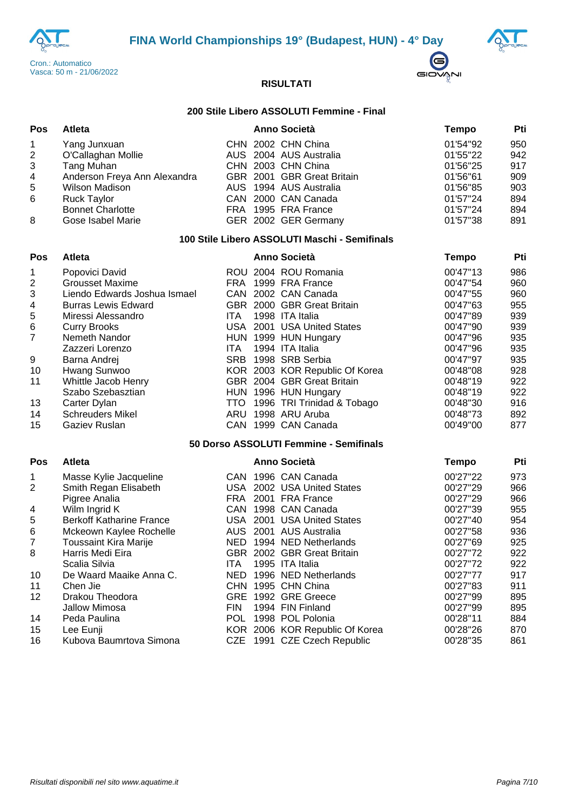





#### **200 Stile Libero ASSOLUTI Femmine - Final**

| <b>Pos</b>     | Atleta                       |  | <b>Anno Società</b>        | Tempo    | Pti |
|----------------|------------------------------|--|----------------------------|----------|-----|
| $\mathbf{1}$   | Yang Junxuan                 |  | CHN 2002 CHN China         | 01'54"92 | 950 |
| 2              | O'Callaghan Mollie           |  | AUS 2004 AUS Australia     | 01'55"22 | 942 |
| 3              | Tang Muhan                   |  | CHN 2003 CHN China         | 01'56"25 | 917 |
| $\overline{4}$ | Anderson Freya Ann Alexandra |  | GBR 2001 GBR Great Britain | 01'56"61 | 909 |
| 5              | <b>Wilson Madison</b>        |  | AUS 1994 AUS Australia     | 01'56"85 | 903 |
| 6              | <b>Ruck Taylor</b>           |  | CAN 2000 CAN Canada        | 01'57"24 | 894 |
|                | <b>Bonnet Charlotte</b>      |  | FRA 1995 FRA France        | 01'57"24 | 894 |
| 8              | Gose Isabel Marie            |  | GER 2002 GER Germany       | 01'57"38 | 891 |

## **100 Stile Libero ASSOLUTI Maschi - Semifinals**

| <b>Pos</b> | <b>Atleta</b>                |            | <b>Anno Società</b>            | Tempo    | Pti |
|------------|------------------------------|------------|--------------------------------|----------|-----|
| 1          | Popovici David               |            | ROU 2004 ROU Romania           | 00'47"13 | 986 |
| 2          | <b>Grousset Maxime</b>       |            | FRA 1999 FRA France            | 00'47"54 | 960 |
| 3          | Liendo Edwards Joshua Ismael |            | CAN 2002 CAN Canada            | 00'47"55 | 960 |
| 4          | <b>Burras Lewis Edward</b>   |            | GBR 2000 GBR Great Britain     | 00'47"63 | 955 |
| 5          | Miressi Alessandro           | ITA.       | 1998 ITA Italia                | 00'47"89 | 939 |
| 6          | <b>Curry Brooks</b>          |            | USA 2001 USA United States     | 00'47"90 | 939 |
| 7          | Nemeth Nandor                |            | HUN 1999 HUN Hungary           | 00'47"96 | 935 |
|            | Zazzeri Lorenzo              | ITA.       | 1994 ITA Italia                | 00'47"96 | 935 |
| 9          | Barna Andrej                 | <b>SRB</b> | 1998 SRB Serbia                | 00'47"97 | 935 |
| 10         | Hwang Sunwoo                 |            | KOR 2003 KOR Republic Of Korea | 00'48"08 | 928 |
| 11         | Whittle Jacob Henry          |            | GBR 2004 GBR Great Britain     | 00'48"19 | 922 |
|            | Szabo Szebasztian            |            | HUN 1996 HUN Hungary           | 00'48"19 | 922 |
| 13         | Carter Dylan                 | TTO .      | 1996 TRI Trinidad & Tobago     | 00'48"30 | 916 |
| 14         | <b>Schreuders Mikel</b>      | ARU        | 1998 ARU Aruba                 | 00'48"73 | 892 |
| 15         | Gaziev Ruslan                |            | CAN 1999 CAN Canada            | 00'49"00 | 877 |

#### **50 Dorso ASSOLUTI Femmine - Semifinals**

| Pos          | <b>Atleta</b>                   |            | <b>Anno Società</b>            | Tempo    | Pti |
|--------------|---------------------------------|------------|--------------------------------|----------|-----|
| $\mathbf{1}$ | Masse Kylie Jacqueline          |            | CAN 1996 CAN Canada            | 00'27"22 | 973 |
| 2            | Smith Regan Elisabeth           |            | USA 2002 USA United States     | 00'27"29 | 966 |
|              | Pigree Analia                   | FRA        | 2001 FRA France                | 00'27"29 | 966 |
| 4            | Wilm Ingrid K                   | CAN        | 1998 CAN Canada                | 00'27"39 | 955 |
| 5            | <b>Berkoff Katharine France</b> |            | USA 2001 USA United States     | 00'27"40 | 954 |
| 6            | Mckeown Kaylee Rochelle         |            | AUS 2001 AUS Australia         | 00'27"58 | 936 |
| 7            | <b>Toussaint Kira Marije</b>    | NED.       | 1994 NED Netherlands           | 00'27"69 | 925 |
| 8            | Harris Medi Eira                |            | GBR 2002 GBR Great Britain     | 00'27"72 | 922 |
|              | Scalia Silvia                   | ITA        | 1995 ITA Italia                | 00'27"72 | 922 |
| 10           | De Waard Maaike Anna C.         | NED.       | 1996 NED Netherlands           | 00'27"77 | 917 |
| 11           | Chen Jie                        |            | CHN 1995 CHN China             | 00'27"83 | 911 |
| 12           | Drakou Theodora                 | GRE        | 1992 GRE Greece                | 00'27"99 | 895 |
|              | Jallow Mimosa                   | <b>FIN</b> | 1994 FIN Finland               | 00'27"99 | 895 |
| 14           | Peda Paulina                    | POL.       | 1998 POL Polonia               | 00'28"11 | 884 |
| 15           | Lee Eunji                       |            | KOR 2006 KOR Republic Of Korea | 00'28"26 | 870 |
| 16           | Kubova Baumrtova Simona         |            | CZE 1991 CZE Czech Republic    | 00'28"35 | 861 |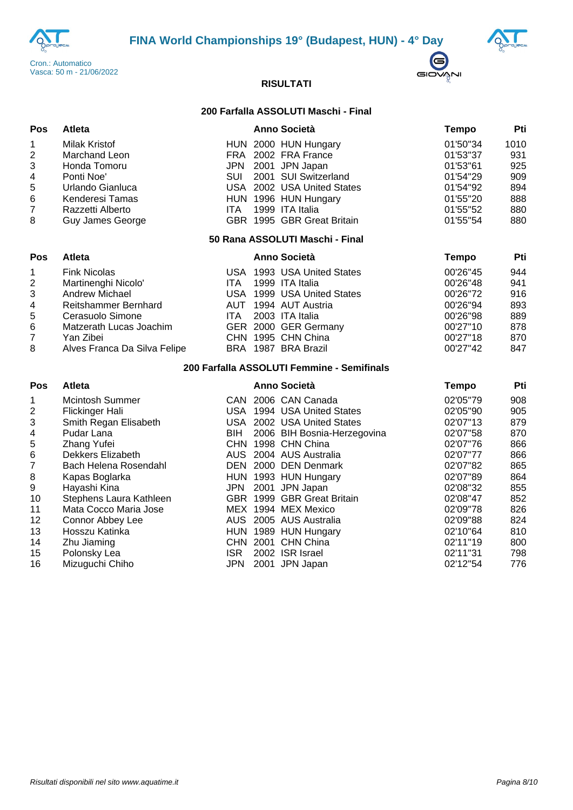





#### **200 Farfalla ASSOLUTI Maschi - Final**

| Pos            | Atleta                  |     | <b>Anno Società</b>        | Tempo    | Pti  |
|----------------|-------------------------|-----|----------------------------|----------|------|
| $\overline{1}$ | <b>Milak Kristof</b>    |     | HUN 2000 HUN Hungary       | 01'50"34 | 1010 |
| 2              | Marchand Leon           |     | FRA 2002 FRA France        | 01'53"37 | 931  |
| 3              | Honda Tomoru            |     | JPN 2001 JPN Japan         | 01'53"61 | 925  |
| $\overline{4}$ | Ponti Noe'              | SUI | 2001 SUI Switzerland       | 01'54"29 | 909  |
| 5              | Urlando Gianluca        |     | USA 2002 USA United States | 01'54"92 | 894  |
| 6              | Kenderesi Tamas         |     | HUN 1996 HUN Hungary       | 01'55"20 | 888  |
| $\overline{7}$ | Razzetti Alberto        | ITA | 1999 ITA Italia            | 01'55"52 | 880  |
| 8              | <b>Guy James George</b> |     | GBR 1995 GBR Great Britain | 01'55"54 | 880  |

#### **50 Rana ASSOLUTI Maschi - Final**

| <b>Pos</b>     | <b>Atleta</b>                |      | <b>Anno Società</b>        | Tempo    | Pti |
|----------------|------------------------------|------|----------------------------|----------|-----|
| $\overline{1}$ | <b>Fink Nicolas</b>          |      | USA 1993 USA United States | 00'26"45 | 944 |
| $\overline{2}$ | Martinenghi Nicolo'          | ITA. | 1999 ITA Italia            | 00'26"48 | 941 |
| 3              | Andrew Michael               |      | USA 1999 USA United States | 00'26"72 | 916 |
| $\overline{4}$ | Reitshammer Bernhard         |      | AUT 1994 AUT Austria       | 00'26"94 | 893 |
| -5             | Cerasuolo Simone             | ITA. | 2003 ITA Italia            | 00'26"98 | 889 |
| 6              | Matzerath Lucas Joachim      |      | GER 2000 GER Germany       | 00'27"10 | 878 |
| 7              | Yan Zibei                    |      | CHN 1995 CHN China         | 00'27"18 | 870 |
| 8              | Alves Franca Da Silva Felipe |      | BRA 1987 BRA Brazil        | 00'27"42 | 847 |

#### **200 Farfalla ASSOLUTI Femmine - Semifinals**

#### **Pos Atleta Anno Società Tempo Pti** Mcintosh Summer CAN 2006 CAN Canada 02'05''79 908 Flickinger Hali USA 1994 USA United States 02'05''90 905 Smith Regan Elisabeth USA 2002 USA United States 02'07''13 879 Pudar Lana BIH 2006 BIH Bosnia-Herzegovina 02'07''58 870 Zhang Yufei CHN 1998 CHN China 02'07''76 866 Dekkers Elizabeth AUS 2004 AUS Australia 02'07''77 866 Bach Helena Rosendahl DEN 2000 DEN Denmark 02'07''82 865 8 Kapas Boglarka HUN 1993 HUN Hungary 02'07"89 864 Hayashi Kina JPN 2001 JPN Japan 02'08''32 855 Stephens Laura Kathleen GBR 1999 GBR Great Britain 02'08''47 852 Mata Cocco Maria Jose MEX 1994 MEX Mexico 02'09''78 826 12 Connor Abbey Lee AUS 2005 AUS Australia 02'09"88 824 13 Hosszu Katinka **HUN 1989 HUN Hungary** 13 602'10"64 810 14 Zhu Jiaming CHN 2001 CHN China 1 02'11"19 800 15 Polonsky Lea ISR 2002 ISR Israel 02'11"31 798 Mizuguchi Chiho JPN 2001 JPN Japan 02'12''54 776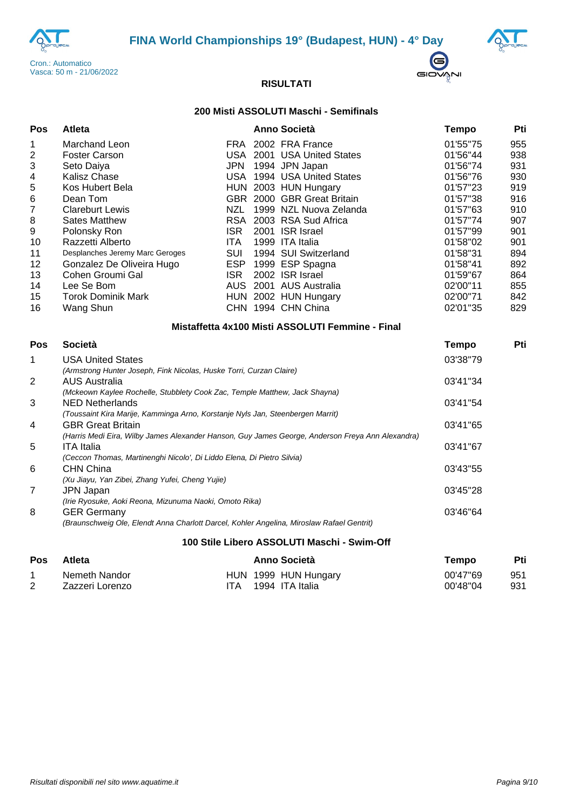





## **200 Misti ASSOLUTI Maschi - Semifinals**

| Pos                                                                                                                                 | <b>Atleta</b>                                                                                                                                                                                                                                                                                                                  |                                                                                  |  | <b>Anno Società</b>                                                                                                                                                                                                                                                                                                                                                | <b>Tempo</b>                                                                                                                                                                     | Pti                                                                                                   |
|-------------------------------------------------------------------------------------------------------------------------------------|--------------------------------------------------------------------------------------------------------------------------------------------------------------------------------------------------------------------------------------------------------------------------------------------------------------------------------|----------------------------------------------------------------------------------|--|--------------------------------------------------------------------------------------------------------------------------------------------------------------------------------------------------------------------------------------------------------------------------------------------------------------------------------------------------------------------|----------------------------------------------------------------------------------------------------------------------------------------------------------------------------------|-------------------------------------------------------------------------------------------------------|
| 1<br>$\overline{2}$<br>$\ensuremath{\mathsf{3}}$<br>4<br>5<br>$\,6$<br>$\overline{7}$<br>8<br>9<br>10<br>11<br>12<br>13<br>14<br>15 | Marchand Leon<br><b>Foster Carson</b><br>Seto Daiya<br><b>Kalisz Chase</b><br>Kos Hubert Bela<br>Dean Tom<br><b>Clareburt Lewis</b><br><b>Sates Matthew</b><br>Polonsky Ron<br>Razzetti Alberto<br>Desplanches Jeremy Marc Geroges<br>Gonzalez De Oliveira Hugo<br>Cohen Groumi Gal<br>Lee Se Bom<br><b>Torok Dominik Mark</b> | <b>JPN</b><br>NZL<br><b>ISR</b><br><b>ITA</b><br>SUI<br><b>ESP</b><br><b>ISR</b> |  | FRA 2002 FRA France<br>USA 2001 USA United States<br>1994 JPN Japan<br>USA 1994 USA United States<br>HUN 2003 HUN Hungary<br>GBR 2000 GBR Great Britain<br>1999 NZL Nuova Zelanda<br>RSA 2003 RSA Sud Africa<br>2001 ISR Israel<br>1999 ITA Italia<br>1994 SUI Switzerland<br>1999 ESP Spagna<br>2002 ISR Israel<br>AUS 2001 AUS Australia<br>HUN 2002 HUN Hungary | 01'55"75<br>01'56"44<br>01'56"74<br>01'56"76<br>01'57"23<br>01'57"38<br>01'57"63<br>01'57"74<br>01'57"99<br>01'58"02<br>01'58"31<br>01'58"41<br>01'59"67<br>02'00"11<br>02'00"71 | 955<br>938<br>931<br>930<br>919<br>916<br>910<br>907<br>901<br>901<br>894<br>892<br>864<br>855<br>842 |
| 16                                                                                                                                  | Wang Shun                                                                                                                                                                                                                                                                                                                      |                                                                                  |  | CHN 1994 CHN China                                                                                                                                                                                                                                                                                                                                                 | 02'01"35                                                                                                                                                                         | 829                                                                                                   |
|                                                                                                                                     |                                                                                                                                                                                                                                                                                                                                |                                                                                  |  | Mistaffetta 4x100 Misti ASSOLUTI Femmine - Final                                                                                                                                                                                                                                                                                                                   |                                                                                                                                                                                  |                                                                                                       |
| <b>Pos</b>                                                                                                                          | <b>Società</b>                                                                                                                                                                                                                                                                                                                 |                                                                                  |  |                                                                                                                                                                                                                                                                                                                                                                    | <b>Tempo</b>                                                                                                                                                                     | Pti                                                                                                   |
| 1                                                                                                                                   | <b>USA United States</b><br>(Armstrong Hunter Joseph, Fink Nicolas, Huske Torri, Curzan Claire)                                                                                                                                                                                                                                |                                                                                  |  |                                                                                                                                                                                                                                                                                                                                                                    | 03'38"79                                                                                                                                                                         |                                                                                                       |
| $\overline{2}$                                                                                                                      | <b>AUS Australia</b><br>(Mckeown Kaylee Rochelle, Stubblety Cook Zac, Temple Matthew, Jack Shayna)                                                                                                                                                                                                                             |                                                                                  |  |                                                                                                                                                                                                                                                                                                                                                                    |                                                                                                                                                                                  |                                                                                                       |
| 3                                                                                                                                   | <b>NED Netherlands</b><br>(Toussaint Kira Marije, Kamminga Arno, Korstanje Nyls Jan, Steenbergen Marrit)                                                                                                                                                                                                                       | 03'41"54                                                                         |  |                                                                                                                                                                                                                                                                                                                                                                    |                                                                                                                                                                                  |                                                                                                       |
| 4                                                                                                                                   | <b>GBR Great Britain</b><br>(Harris Medi Eira, Wilby James Alexander Hanson, Guy James George, Anderson Freya Ann Alexandra)                                                                                                                                                                                                   | 03'41"65                                                                         |  |                                                                                                                                                                                                                                                                                                                                                                    |                                                                                                                                                                                  |                                                                                                       |
| 5                                                                                                                                   | <b>ITA Italia</b><br>(Ceccon Thomas, Martinenghi Nicolo', Di Liddo Elena, Di Pietro Silvia)                                                                                                                                                                                                                                    | 03'41"67<br>03'43"55                                                             |  |                                                                                                                                                                                                                                                                                                                                                                    |                                                                                                                                                                                  |                                                                                                       |
| 6                                                                                                                                   | <b>CHN China</b><br>(Xu Jiayu, Yan Zibei, Zhang Yufei, Cheng Yujie)                                                                                                                                                                                                                                                            |                                                                                  |  |                                                                                                                                                                                                                                                                                                                                                                    |                                                                                                                                                                                  |                                                                                                       |
| $\overline{7}$                                                                                                                      | <b>JPN Japan</b><br>(Irie Ryosuke, Aoki Reona, Mizunuma Naoki, Omoto Rika)                                                                                                                                                                                                                                                     |                                                                                  |  |                                                                                                                                                                                                                                                                                                                                                                    |                                                                                                                                                                                  |                                                                                                       |
| 8                                                                                                                                   | <b>GER Germany</b><br>(Braunschweig Ole, Elendt Anna Charlott Darcel, Kohler Angelina, Miroslaw Rafael Gentrit)                                                                                                                                                                                                                |                                                                                  |  |                                                                                                                                                                                                                                                                                                                                                                    | 03'46"64                                                                                                                                                                         |                                                                                                       |
|                                                                                                                                     |                                                                                                                                                                                                                                                                                                                                |                                                                                  |  |                                                                                                                                                                                                                                                                                                                                                                    |                                                                                                                                                                                  |                                                                                                       |

## **100 Stile Libero ASSOLUTI Maschi - Swim-Off**

| <b>Pos</b> | Atleta                           | Anno Società                                | Tempo                | Pti        |
|------------|----------------------------------|---------------------------------------------|----------------------|------------|
|            | Nemeth Nandor<br>Zazzeri Lorenzo | HUN 1999 HUN Hungary<br>ITA 1994 ITA Italia | 00'47"69<br>00'48"04 | 951<br>931 |